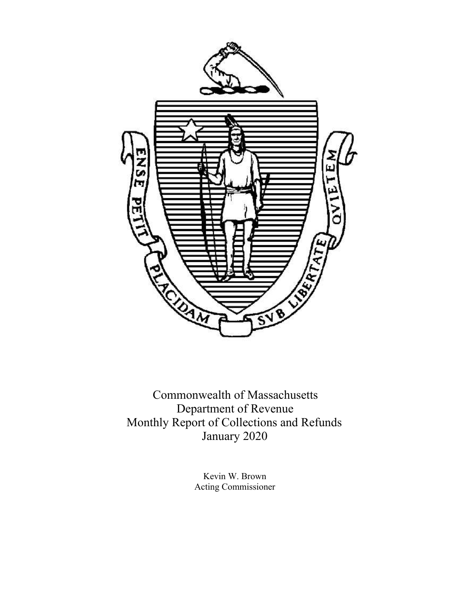

Commonwealth of Massachusetts Department of Revenue Monthly Report of Collections and Refunds January 2020

> Kevin W. Brown Acting Commissioner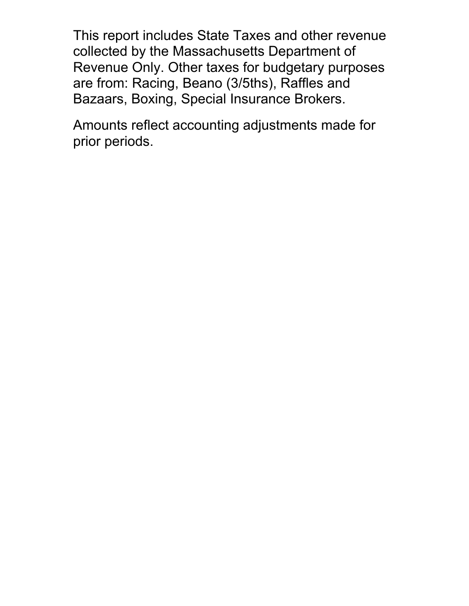This report includes State Taxes and other revenue collected by the Massachusetts Department of Revenue Only. Other taxes for budgetary purposes are from: Racing, Beano (3/5ths), Raffles and Bazaars, Boxing, Special Insurance Brokers.

Amounts reflect accounting adjustments made for prior periods.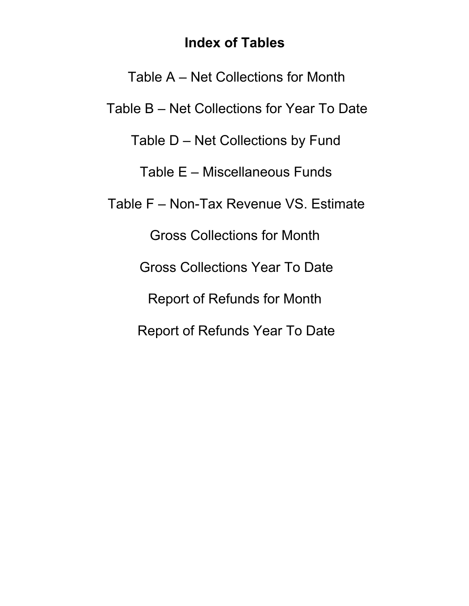# **Index of Tables**

Table A – Net Collections for Month Table B – Net Collections for Year To Date Table D – Net Collections by Fund Table E – Miscellaneous Funds Table F – Non-Tax Revenue VS. Estimate Gross Collections for Month Gross Collections Year To Date Report of Refunds for Month Report of Refunds Year To Date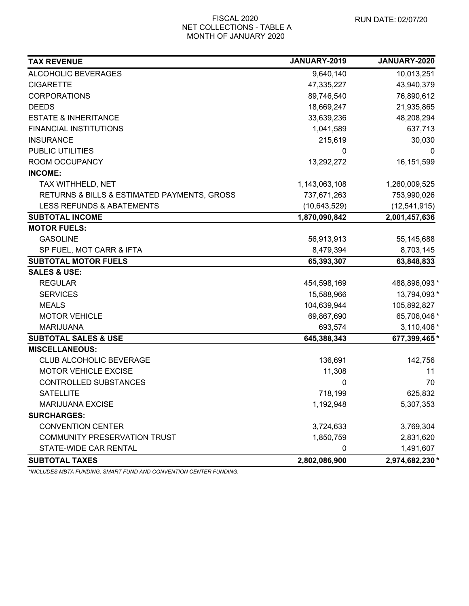#### FISCAL 2020 NET COLLECTIONS - TABLE A MONTH OF JANUARY 2020

| <b>TAX REVENUE</b>                          | JANUARY-2019  | JANUARY-2020    |
|---------------------------------------------|---------------|-----------------|
| ALCOHOLIC BEVERAGES                         | 9,640,140     | 10,013,251      |
| <b>CIGARETTE</b>                            | 47,335,227    | 43,940,379      |
| <b>CORPORATIONS</b>                         | 89,746,540    | 76,890,612      |
| <b>DEEDS</b>                                | 18,669,247    | 21,935,865      |
| <b>ESTATE &amp; INHERITANCE</b>             | 33,639,236    | 48,208,294      |
| <b>FINANCIAL INSTITUTIONS</b>               | 1,041,589     | 637,713         |
| <b>INSURANCE</b>                            | 215,619       | 30,030          |
| <b>PUBLIC UTILITIES</b>                     | 0             | $\Omega$        |
| ROOM OCCUPANCY                              | 13,292,272    | 16, 151, 599    |
| <b>INCOME:</b>                              |               |                 |
| TAX WITHHELD, NET                           | 1,143,063,108 | 1,260,009,525   |
| RETURNS & BILLS & ESTIMATED PAYMENTS, GROSS | 737,671,263   | 753,990,026     |
| <b>LESS REFUNDS &amp; ABATEMENTS</b>        | (10,643,529)  | (12,541,915)    |
| <b>SUBTOTAL INCOME</b>                      | 1,870,090,842 | 2,001,457,636   |
| <b>MOTOR FUELS:</b>                         |               |                 |
| <b>GASOLINE</b>                             | 56,913,913    | 55,145,688      |
| SP FUEL, MOT CARR & IFTA                    | 8,479,394     | 8,703,145       |
| <b>SUBTOTAL MOTOR FUELS</b>                 | 65,393,307    | 63,848,833      |
| <b>SALES &amp; USE:</b>                     |               |                 |
| <b>REGULAR</b>                              | 454,598,169   | 488,896,093 *   |
| <b>SERVICES</b>                             | 15,588,966    | 13,794,093 *    |
| <b>MEALS</b>                                | 104,639,944   | 105,892,827     |
| <b>MOTOR VEHICLE</b>                        | 69,867,690    | 65,706,046 *    |
| <b>MARIJUANA</b>                            | 693,574       | 3,110,406 *     |
| <b>SUBTOTAL SALES &amp; USE</b>             | 645,388,343   | 677,399,465*    |
| <b>MISCELLANEOUS:</b>                       |               |                 |
| <b>CLUB ALCOHOLIC BEVERAGE</b>              | 136,691       | 142,756         |
| <b>MOTOR VEHICLE EXCISE</b>                 | 11,308        | 11              |
| CONTROLLED SUBSTANCES                       | 0             | 70              |
| <b>SATELLITE</b>                            | 718,199       | 625,832         |
| <b>MARIJUANA EXCISE</b>                     | 1,192,948     | 5,307,353       |
| <b>SURCHARGES:</b>                          |               |                 |
| <b>CONVENTION CENTER</b>                    | 3,724,633     | 3,769,304       |
| <b>COMMUNITY PRESERVATION TRUST</b>         | 1,850,759     | 2,831,620       |
| STATE-WIDE CAR RENTAL                       | 0             | 1,491,607       |
| <b>SUBTOTAL TAXES</b>                       | 2,802,086,900 | 2,974,682,230 * |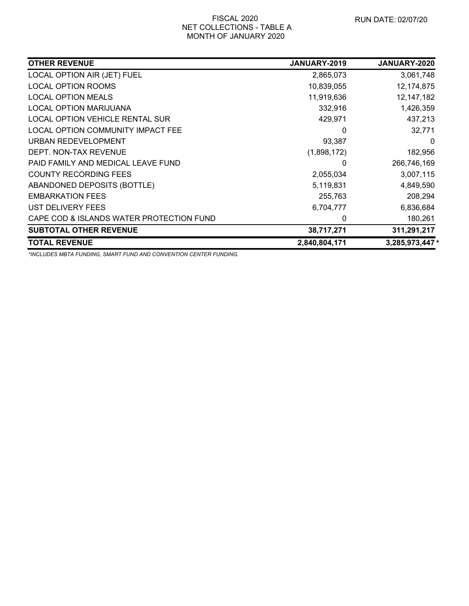## FISCAL 2020 NET COLLECTIONS - TABLE A MONTH OF JANUARY 2020

| <b>OTHER REVENUE</b>                     | JANUARY-2019  | <b>JANUARY-2020</b> |
|------------------------------------------|---------------|---------------------|
| LOCAL OPTION AIR (JET) FUEL              | 2,865,073     | 3,061,748           |
| <b>LOCAL OPTION ROOMS</b>                | 10,839,055    | 12, 174, 875        |
| <b>LOCAL OPTION MEALS</b>                | 11,919,636    | 12, 147, 182        |
| <b>LOCAL OPTION MARIJUANA</b>            | 332,916       | 1,426,359           |
| <b>LOCAL OPTION VEHICLE RENTAL SUR</b>   | 429,971       | 437,213             |
| LOCAL OPTION COMMUNITY IMPACT FEE        | 0             | 32,771              |
| URBAN REDEVELOPMENT                      | 93,387        | $\Omega$            |
| DEPT. NON-TAX REVENUE                    | (1,898,172)   | 182,956             |
| PAID FAMILY AND MEDICAL LEAVE FUND       | 0             | 266,746,169         |
| <b>COUNTY RECORDING FEES</b>             | 2,055,034     | 3,007,115           |
| ABANDONED DEPOSITS (BOTTLE)              | 5,119,831     | 4,849,590           |
| <b>EMBARKATION FEES</b>                  | 255,763       | 208,294             |
| UST DELIVERY FEES                        | 6,704,777     | 6,836,684           |
| CAPE COD & ISLANDS WATER PROTECTION FUND | 0             | 180,261             |
| <b>SUBTOTAL OTHER REVENUE</b>            | 38,717,271    | 311,291,217         |
| <b>TOTAL REVENUE</b>                     | 2,840,804,171 | 3,285,973,447*      |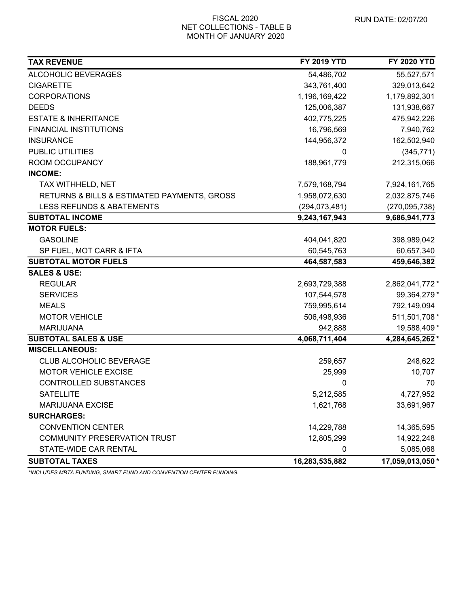## FISCAL 2020 NET COLLECTIONS - TABLE B MONTH OF JANUARY 2020

| <b>TAX REVENUE</b>                          | <b>FY 2019 YTD</b> | <b>FY 2020 YTD</b> |
|---------------------------------------------|--------------------|--------------------|
| ALCOHOLIC BEVERAGES                         | 54,486,702         | 55,527,571         |
| <b>CIGARETTE</b>                            | 343,761,400        | 329,013,642        |
| <b>CORPORATIONS</b>                         | 1,196,169,422      | 1,179,892,301      |
| <b>DEEDS</b>                                | 125,006,387        | 131,938,667        |
| <b>ESTATE &amp; INHERITANCE</b>             | 402,775,225        | 475,942,226        |
| <b>FINANCIAL INSTITUTIONS</b>               | 16,796,569         | 7,940,762          |
| <b>INSURANCE</b>                            | 144,956,372        | 162,502,940        |
| PUBLIC UTILITIES                            |                    | (345, 771)         |
| ROOM OCCUPANCY                              | 188,961,779        | 212,315,066        |
| <b>INCOME:</b>                              |                    |                    |
| TAX WITHHELD, NET                           | 7,579,168,794      | 7,924,161,765      |
| RETURNS & BILLS & ESTIMATED PAYMENTS, GROSS | 1,958,072,630      | 2,032,875,746      |
| <b>LESS REFUNDS &amp; ABATEMENTS</b>        | (294, 073, 481)    | (270, 095, 738)    |
| <b>SUBTOTAL INCOME</b>                      | 9,243,167,943      | 9,686,941,773      |
| <b>MOTOR FUELS:</b>                         |                    |                    |
| <b>GASOLINE</b>                             | 404,041,820        | 398,989,042        |
| SP FUEL, MOT CARR & IFTA                    | 60,545,763         | 60,657,340         |
| <b>SUBTOTAL MOTOR FUELS</b>                 | 464,587,583        | 459,646,382        |
| <b>SALES &amp; USE:</b>                     |                    |                    |
| <b>REGULAR</b>                              | 2,693,729,388      | 2,862,041,772 *    |
| <b>SERVICES</b>                             | 107,544,578        | 99,364,279 *       |
| <b>MEALS</b>                                | 759,995,614        | 792,149,094        |
| <b>MOTOR VEHICLE</b>                        | 506,498,936        | 511,501,708 *      |
| <b>MARIJUANA</b>                            | 942,888            | 19,588,409 *       |
| <b>SUBTOTAL SALES &amp; USE</b>             | 4,068,711,404      | 4,284,645,262 *    |
| <b>MISCELLANEOUS:</b>                       |                    |                    |
| <b>CLUB ALCOHOLIC BEVERAGE</b>              | 259,657            | 248,622            |
| <b>MOTOR VEHICLE EXCISE</b>                 | 25,999             | 10,707             |
| <b>CONTROLLED SUBSTANCES</b>                | 0                  | 70                 |
| <b>SATELLITE</b>                            | 5,212,585          | 4,727,952          |
| <b>MARIJUANA EXCISE</b>                     | 1,621,768          | 33,691,967         |
| <b>SURCHARGES:</b>                          |                    |                    |
| <b>CONVENTION CENTER</b>                    | 14,229,788         | 14,365,595         |
| COMMUNITY PRESERVATION TRUST                | 12,805,299         | 14,922,248         |
| STATE-WIDE CAR RENTAL                       | 0                  | 5,085,068          |
| <b>SUBTOTAL TAXES</b>                       | 16,283,535,882     | 17,059,013,050 *   |
|                                             |                    |                    |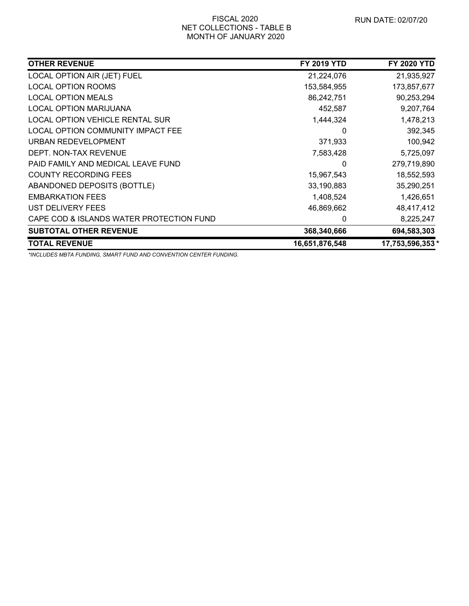#### FISCAL 2020 NET COLLECTIONS - TABLE B MONTH OF JANUARY 2020

| <b>OTHER REVENUE</b>                     | <b>FY 2019 YTD</b> | <b>FY 2020 YTD</b> |
|------------------------------------------|--------------------|--------------------|
| LOCAL OPTION AIR (JET) FUEL              | 21,224,076         | 21,935,927         |
| <b>LOCAL OPTION ROOMS</b>                | 153,584,955        | 173,857,677        |
| <b>LOCAL OPTION MEALS</b>                | 86,242,751         | 90,253,294         |
| <b>LOCAL OPTION MARIJUANA</b>            | 452,587            | 9,207,764          |
| <b>LOCAL OPTION VEHICLE RENTAL SUR</b>   | 1,444,324          | 1,478,213          |
| LOCAL OPTION COMMUNITY IMPACT FEE        | 0                  | 392,345            |
| URBAN REDEVELOPMENT                      | 371,933            | 100,942            |
| DEPT. NON-TAX REVENUE                    | 7,583,428          | 5,725,097          |
| PAID FAMILY AND MEDICAL LEAVE FUND       | 0                  | 279,719,890        |
| <b>COUNTY RECORDING FEES</b>             | 15,967,543         | 18,552,593         |
| ABANDONED DEPOSITS (BOTTLE)              | 33,190,883         | 35,290,251         |
| <b>EMBARKATION FEES</b>                  | 1,408,524          | 1,426,651          |
| UST DELIVERY FEES                        | 46,869,662         | 48,417,412         |
| CAPE COD & ISLANDS WATER PROTECTION FUND | 0                  | 8,225,247          |
| <b>SUBTOTAL OTHER REVENUE</b>            | 368,340,666        | 694,583,303        |
| <b>TOTAL REVENUE</b>                     | 16,651,876,548     | 17,753,596,353 *   |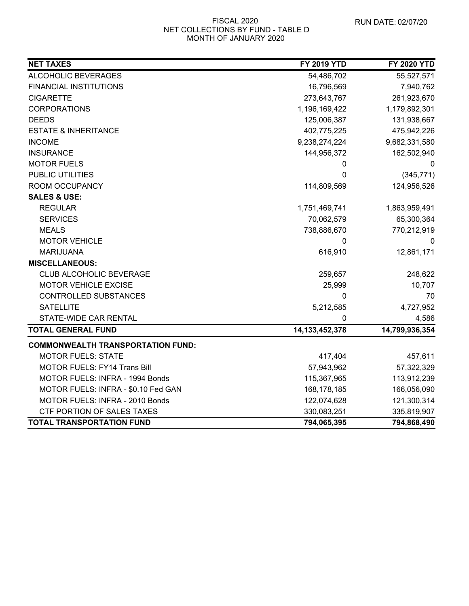#### FISCAL 2020 NET COLLECTIONS BY FUND - TABLE D MONTH OF JANUARY 2020

| <b>NET TAXES</b>                         | <b>FY 2019 YTD</b> | <b>FY 2020 YTD</b> |
|------------------------------------------|--------------------|--------------------|
| ALCOHOLIC BEVERAGES                      | 54,486,702         | 55,527,571         |
| <b>FINANCIAL INSTITUTIONS</b>            | 16,796,569         | 7,940,762          |
| <b>CIGARETTE</b>                         | 273,643,767        | 261,923,670        |
| <b>CORPORATIONS</b>                      | 1,196,169,422      | 1,179,892,301      |
| <b>DEEDS</b>                             | 125,006,387        | 131,938,667        |
| <b>ESTATE &amp; INHERITANCE</b>          | 402,775,225        | 475,942,226        |
| <b>INCOME</b>                            | 9,238,274,224      | 9,682,331,580      |
| <b>INSURANCE</b>                         | 144,956,372        | 162,502,940        |
| <b>MOTOR FUELS</b>                       | 0                  | 0                  |
| PUBLIC UTILITIES                         | 0                  | (345, 771)         |
| ROOM OCCUPANCY                           | 114,809,569        | 124,956,526        |
| <b>SALES &amp; USE:</b>                  |                    |                    |
| <b>REGULAR</b>                           | 1,751,469,741      | 1,863,959,491      |
| <b>SERVICES</b>                          | 70,062,579         | 65,300,364         |
| <b>MEALS</b>                             | 738,886,670        | 770,212,919        |
| <b>MOTOR VEHICLE</b>                     | 0                  |                    |
| MARIJUANA                                | 616,910            | 12,861,171         |
| <b>MISCELLANEOUS:</b>                    |                    |                    |
| CLUB ALCOHOLIC BEVERAGE                  | 259,657            | 248,622            |
| MOTOR VEHICLE EXCISE                     | 25,999             | 10,707             |
| CONTROLLED SUBSTANCES                    | 0                  | 70                 |
| <b>SATELLITE</b>                         | 5,212,585          | 4,727,952          |
| STATE-WIDE CAR RENTAL                    | 0                  | 4,586              |
| <b>TOTAL GENERAL FUND</b>                | 14, 133, 452, 378  | 14,799,936,354     |
| <b>COMMONWEALTH TRANSPORTATION FUND:</b> |                    |                    |
| <b>MOTOR FUELS: STATE</b>                | 417,404            | 457,611            |
| <b>MOTOR FUELS: FY14 Trans Bill</b>      | 57,943,962         | 57,322,329         |
| MOTOR FUELS: INFRA - 1994 Bonds          | 115,367,965        | 113,912,239        |
| MOTOR FUELS: INFRA - \$0.10 Fed GAN      | 168, 178, 185      | 166,056,090        |
| MOTOR FUELS: INFRA - 2010 Bonds          | 122,074,628        | 121,300,314        |
| CTF PORTION OF SALES TAXES               | 330,083,251        | 335,819,907        |
| <b>TOTAL TRANSPORTATION FUND</b>         | 794,065,395        | 794,868,490        |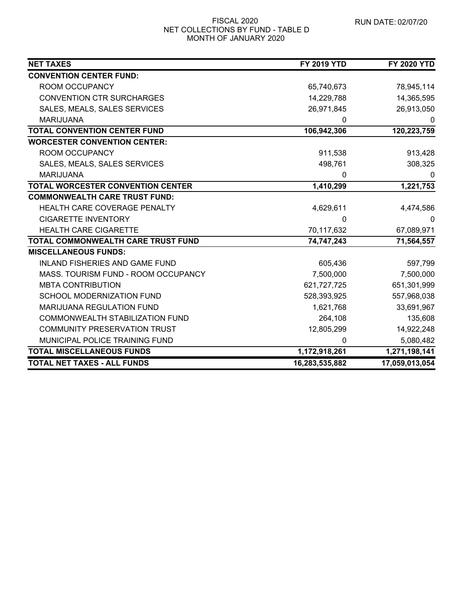#### FISCAL 2020 NET COLLECTIONS BY FUND - TABLE D MONTH OF JANUARY 2020

| <b>NET TAXES</b>                         | <b>FY 2019 YTD</b> | <b>FY 2020 YTD</b> |
|------------------------------------------|--------------------|--------------------|
| <b>CONVENTION CENTER FUND:</b>           |                    |                    |
| ROOM OCCUPANCY                           | 65,740,673         | 78,945,114         |
| <b>CONVENTION CTR SURCHARGES</b>         | 14,229,788         | 14,365,595         |
| SALES, MEALS, SALES SERVICES             | 26,971,845         | 26,913,050         |
| <b>MARIJUANA</b>                         | 0                  | 0                  |
| <b>TOTAL CONVENTION CENTER FUND</b>      | 106,942,306        | 120,223,759        |
| <b>WORCESTER CONVENTION CENTER:</b>      |                    |                    |
| ROOM OCCUPANCY                           | 911,538            | 913,428            |
| SALES, MEALS, SALES SERVICES             | 498,761            | 308,325            |
| <b>MARIJUANA</b>                         | 0                  | 0                  |
| <b>TOTAL WORCESTER CONVENTION CENTER</b> | 1,410,299          | 1,221,753          |
| <b>COMMONWEALTH CARE TRUST FUND:</b>     |                    |                    |
| HEALTH CARE COVERAGE PENALTY             | 4,629,611          | 4,474,586          |
| <b>CIGARETTE INVENTORY</b>               | 0                  |                    |
| <b>HEALTH CARE CIGARETTE</b>             | 70,117,632         | 67,089,971         |
| TOTAL COMMONWEALTH CARE TRUST FUND       | 74,747,243         | 71,564,557         |
| <b>MISCELLANEOUS FUNDS:</b>              |                    |                    |
| <b>INLAND FISHERIES AND GAME FUND</b>    | 605,436            | 597,799            |
| MASS. TOURISM FUND - ROOM OCCUPANCY      | 7,500,000          | 7,500,000          |
| <b>MBTA CONTRIBUTION</b>                 | 621,727,725        | 651,301,999        |
| <b>SCHOOL MODERNIZATION FUND</b>         | 528,393,925        | 557,968,038        |
| <b>MARIJUANA REGULATION FUND</b>         | 1,621,768          | 33,691,967         |
| COMMONWEALTH STABILIZATION FUND          | 264,108            | 135,608            |
| <b>COMMUNITY PRESERVATION TRUST</b>      | 12,805,299         | 14,922,248         |
| MUNICIPAL POLICE TRAINING FUND           | 0                  | 5,080,482          |
| <b>TOTAL MISCELLANEOUS FUNDS</b>         | 1,172,918,261      | 1,271,198,141      |
| <b>TOTAL NET TAXES - ALL FUNDS</b>       | 16,283,535,882     | 17,059,013,054     |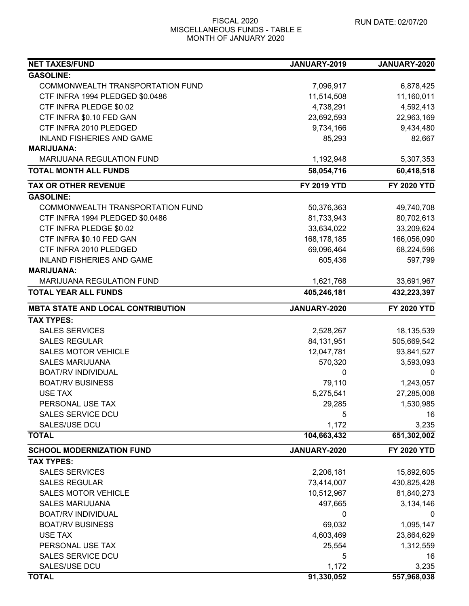#### FISCAL 2020 MISCELLANEOUS FUNDS - TABLE E MONTH OF JANUARY 2020

| <b>NET TAXES/FUND</b>                    | JANUARY-2019       | JANUARY-2020       |
|------------------------------------------|--------------------|--------------------|
| <b>GASOLINE:</b>                         |                    |                    |
| COMMONWEALTH TRANSPORTATION FUND         | 7,096,917          | 6,878,425          |
| CTF INFRA 1994 PLEDGED \$0.0486          | 11,514,508         | 11,160,011         |
| CTF INFRA PLEDGE \$0.02                  | 4,738,291          | 4,592,413          |
| CTF INFRA \$0.10 FED GAN                 | 23,692,593         | 22,963,169         |
| CTF INFRA 2010 PLEDGED                   | 9,734,166          | 9,434,480          |
| <b>INLAND FISHERIES AND GAME</b>         | 85,293             | 82,667             |
| <b>MARIJUANA:</b>                        |                    |                    |
| <b>MARIJUANA REGULATION FUND</b>         | 1,192,948          | 5,307,353          |
| <b>TOTAL MONTH ALL FUNDS</b>             | 58,054,716         | 60,418,518         |
| <b>TAX OR OTHER REVENUE</b>              | <b>FY 2019 YTD</b> | <b>FY 2020 YTD</b> |
| <b>GASOLINE:</b>                         |                    |                    |
| COMMONWEALTH TRANSPORTATION FUND         | 50,376,363         | 49,740,708         |
| CTF INFRA 1994 PLEDGED \$0.0486          | 81,733,943         | 80,702,613         |
| CTF INFRA PLEDGE \$0.02                  | 33,634,022         | 33,209,624         |
| CTF INFRA \$0.10 FED GAN                 | 168,178,185        | 166,056,090        |
| CTF INFRA 2010 PLEDGED                   | 69,096,464         | 68,224,596         |
| <b>INLAND FISHERIES AND GAME</b>         | 605,436            | 597,799            |
| <b>MARIJUANA:</b>                        |                    |                    |
| MARIJUANA REGULATION FUND                | 1,621,768          | 33,691,967         |
| <b>TOTAL YEAR ALL FUNDS</b>              | 405,246,181        | 432,223,397        |
| <b>MBTA STATE AND LOCAL CONTRIBUTION</b> | JANUARY-2020       | <b>FY 2020 YTD</b> |
| <b>TAX TYPES:</b>                        |                    |                    |
| <b>SALES SERVICES</b>                    | 2,528,267          | 18,135,539         |
| <b>SALES REGULAR</b>                     | 84,131,951         | 505,669,542        |
| <b>SALES MOTOR VEHICLE</b>               | 12,047,781         | 93,841,527         |
| <b>SALES MARIJUANA</b>                   | 570,320            | 3,593,093          |
| <b>BOAT/RV INDIVIDUAL</b>                | 0                  | 0                  |
| <b>BOAT/RV BUSINESS</b>                  | 79,110             | 1,243,057          |
| <b>USE TAX</b>                           | 5,275,541          | 27,285,008         |
| PERSONAL USE TAX                         | 29,285             | 1,530,985          |
| <b>SALES SERVICE DCU</b>                 | 5                  | 16                 |
| SALES/USE DCU                            | 1,172              | 3,235              |
| <b>TOTAL</b>                             | 104,663,432        | 651,302,002        |
| <b>SCHOOL MODERNIZATION FUND</b>         | JANUARY-2020       | <b>FY 2020 YTD</b> |
| <b>TAX TYPES:</b>                        |                    |                    |
| <b>SALES SERVICES</b>                    | 2,206,181          | 15,892,605         |
| <b>SALES REGULAR</b>                     | 73,414,007         | 430,825,428        |
| <b>SALES MOTOR VEHICLE</b>               | 10,512,967         | 81,840,273         |
| <b>SALES MARIJUANA</b>                   | 497,665            | 3,134,146          |
| <b>BOAT/RV INDIVIDUAL</b>                | $\Omega$           | 0                  |
| <b>BOAT/RV BUSINESS</b>                  | 69,032             | 1,095,147          |
| <b>USE TAX</b>                           | 4,603,469          | 23,864,629         |
| PERSONAL USE TAX                         | 25,554             | 1,312,559          |
| <b>SALES SERVICE DCU</b>                 | 5                  | 16                 |
| SALES/USE DCU                            | 1,172              | 3,235              |
| <b>TOTAL</b>                             | 91,330,052         | 557,968,038        |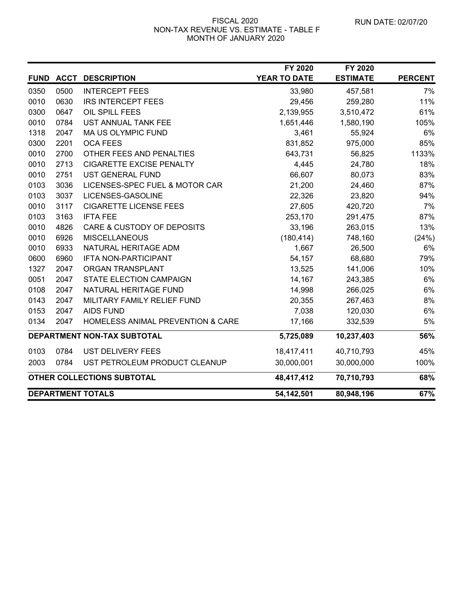#### FISCAL 2020 NON-TAX REVENUE VS. ESTIMATE - TABLE F MONTH OF JANUARY 2020

|             |             |                                              | FY 2020      | FY 2020         |                |
|-------------|-------------|----------------------------------------------|--------------|-----------------|----------------|
| <b>FUND</b> | <b>ACCT</b> | <b>DESCRIPTION</b>                           | YEAR TO DATE | <b>ESTIMATE</b> | <b>PERCENT</b> |
| 0350        | 0500        | <b>INTERCEPT FEES</b>                        | 33,980       | 457,581         | 7%             |
| 0010        | 0630        | <b>IRS INTERCEPT FEES</b>                    | 29,456       | 259,280         | 11%            |
| 0300        | 0647        | OIL SPILL FEES                               | 2,139,955    | 3,510,472       | 61%            |
| 0010        | 0784        | UST ANNUAL TANK FEE                          | 1,651,446    | 1,580,190       | 105%           |
| 1318        | 2047        | MA US OLYMPIC FUND                           | 3,461        | 55,924          | 6%             |
| 0300        | 2201        | <b>OCA FEES</b>                              | 831,852      | 975,000         | 85%            |
| 0010        | 2700        | OTHER FEES AND PENALTIES                     | 643,731      | 56,825          | 1133%          |
| 0010        | 2713        | <b>CIGARETTE EXCISE PENALTY</b>              | 4,445        | 24,780          | 18%            |
| 0010        | 2751        | <b>UST GENERAL FUND</b>                      | 66,607       | 80,073          | 83%            |
| 0103        | 3036        | LICENSES-SPEC FUEL & MOTOR CAR               | 21,200       | 24,460          | 87%            |
| 0103        | 3037        | LICENSES-GASOLINE                            | 22,326       | 23,820          | 94%            |
| 0010        | 3117        | <b>CIGARETTE LICENSE FEES</b>                | 27,605       | 420,720         | 7%             |
| 0103        | 3163        | <b>IFTA FEE</b>                              | 253,170      | 291,475         | 87%            |
| 0010        | 4826        | CARE & CUSTODY OF DEPOSITS                   | 33,196       | 263,015         | 13%            |
| 0010        | 6926        | <b>MISCELLANEOUS</b>                         | (180, 414)   | 748,160         | (24%)          |
| 0010        | 6933        | NATURAL HERITAGE ADM                         | 1,667        | 26,500          | 6%             |
| 0600        | 6960        | IFTA NON-PARTICIPANT                         | 54,157       | 68,680          | 79%            |
| 1327        | 2047        | ORGAN TRANSPLANT                             | 13,525       | 141,006         | 10%            |
| 0051        | 2047        | STATE ELECTION CAMPAIGN                      | 14,167       | 243,385         | 6%             |
| 0108        | 2047        | NATURAL HERITAGE FUND                        | 14,998       | 266,025         | 6%             |
| 0143        | 2047        | MILITARY FAMILY RELIEF FUND                  | 20,355       | 267,463         | 8%             |
| 0153        | 2047        | <b>AIDS FUND</b>                             | 7,038        | 120,030         | 6%             |
| 0134        | 2047        | <b>HOMELESS ANIMAL PREVENTION &amp; CARE</b> | 17,166       | 332,539         | 5%             |
|             |             | DEPARTMENT NON-TAX SUBTOTAL                  | 5,725,089    | 10,237,403      | 56%            |
| 0103        | 0784        | <b>UST DELIVERY FEES</b>                     | 18,417,411   | 40,710,793      | 45%            |
| 2003        | 0784        | UST PETROLEUM PRODUCT CLEANUP                | 30,000,001   | 30,000,000      | 100%           |
|             |             | OTHER COLLECTIONS SUBTOTAL                   | 48,417,412   | 70,710,793      | 68%            |
|             |             | <b>DEPARTMENT TOTALS</b>                     | 54,142,501   | 80,948,196      | 67%            |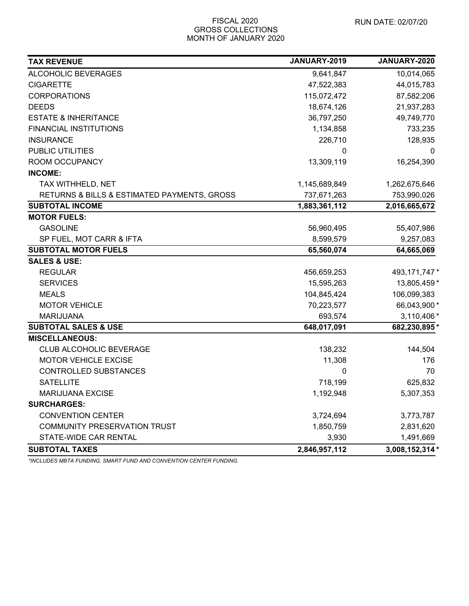| <b>TAX REVENUE</b>                          | JANUARY-2019  | JANUARY-2020    |
|---------------------------------------------|---------------|-----------------|
| ALCOHOLIC BEVERAGES                         | 9,641,847     | 10,014,065      |
| <b>CIGARETTE</b>                            | 47,522,383    | 44,015,783      |
| <b>CORPORATIONS</b>                         | 115,072,472   | 87,582,206      |
| <b>DEEDS</b>                                | 18,674,126    | 21,937,283      |
| <b>ESTATE &amp; INHERITANCE</b>             | 36,797,250    | 49,749,770      |
| FINANCIAL INSTITUTIONS                      | 1,134,858     | 733,235         |
| <b>INSURANCE</b>                            | 226,710       | 128,935         |
| PUBLIC UTILITIES                            | 0             | 0               |
| ROOM OCCUPANCY                              | 13,309,119    | 16,254,390      |
| <b>INCOME:</b>                              |               |                 |
| TAX WITHHELD, NET                           | 1,145,689,849 | 1,262,675,646   |
| RETURNS & BILLS & ESTIMATED PAYMENTS, GROSS | 737,671,263   | 753,990,026     |
| <b>SUBTOTAL INCOME</b>                      | 1,883,361,112 | 2,016,665,672   |
| <b>MOTOR FUELS:</b>                         |               |                 |
| <b>GASOLINE</b>                             | 56,960,495    | 55,407,986      |
| SP FUEL, MOT CARR & IFTA                    | 8,599,579     | 9,257,083       |
| <b>SUBTOTAL MOTOR FUELS</b>                 | 65,560,074    | 64,665,069      |
| <b>SALES &amp; USE:</b>                     |               |                 |
| <b>REGULAR</b>                              | 456,659,253   | 493, 171, 747 * |
| <b>SERVICES</b>                             | 15,595,263    | 13,805,459 *    |
| <b>MEALS</b>                                | 104,845,424   | 106,099,383     |
| <b>MOTOR VEHICLE</b>                        | 70,223,577    | 66,043,900 *    |
| <b>MARIJUANA</b>                            | 693,574       | 3,110,406 *     |
| <b>SUBTOTAL SALES &amp; USE</b>             | 648,017,091   | 682,230,895*    |
| <b>MISCELLANEOUS:</b>                       |               |                 |
| <b>CLUB ALCOHOLIC BEVERAGE</b>              | 138,232       | 144,504         |
| <b>MOTOR VEHICLE EXCISE</b>                 | 11,308        | 176             |
| <b>CONTROLLED SUBSTANCES</b>                | 0             | 70              |
| <b>SATELLITE</b>                            | 718,199       | 625,832         |
| MARIJUANA EXCISE                            | 1,192,948     | 5,307,353       |
| <b>SURCHARGES:</b>                          |               |                 |
| <b>CONVENTION CENTER</b>                    | 3,724,694     | 3,773,787       |
| <b>COMMUNITY PRESERVATION TRUST</b>         | 1,850,759     | 2,831,620       |
| STATE-WIDE CAR RENTAL                       | 3,930         | 1,491,669       |
| <b>SUBTOTAL TAXES</b>                       | 2,846,957,112 | 3,008,152,314 * |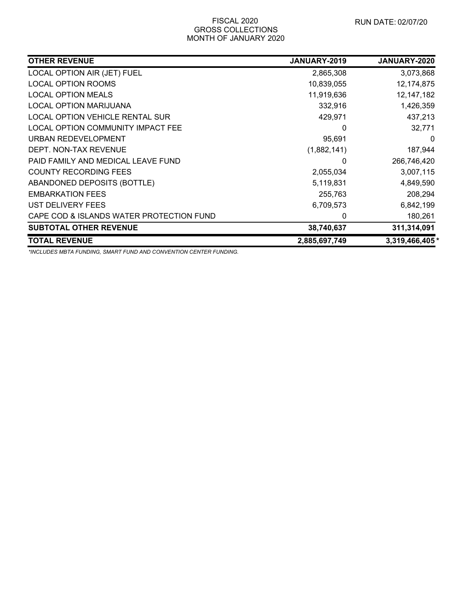| <b>OTHER REVENUE</b>                     | <b>JANUARY-2019</b> | JANUARY-2020   |
|------------------------------------------|---------------------|----------------|
| LOCAL OPTION AIR (JET) FUEL              | 2,865,308           | 3,073,868      |
| <b>LOCAL OPTION ROOMS</b>                | 10,839,055          | 12,174,875     |
| <b>LOCAL OPTION MEALS</b>                | 11,919,636          | 12,147,182     |
| LOCAL OPTION MARIJUANA                   | 332,916             | 1,426,359      |
| <b>LOCAL OPTION VEHICLE RENTAL SUR</b>   | 429,971             | 437,213        |
| LOCAL OPTION COMMUNITY IMPACT FEE        | 0                   | 32,771         |
| <b>URBAN REDEVELOPMENT</b>               | 95,691              | 0              |
| DEPT. NON-TAX REVENUE                    | (1,882,141)         | 187,944        |
| PAID FAMILY AND MEDICAL LEAVE FUND       | 0                   | 266,746,420    |
| <b>COUNTY RECORDING FEES</b>             | 2,055,034           | 3,007,115      |
| ABANDONED DEPOSITS (BOTTLE)              | 5,119,831           | 4,849,590      |
| <b>EMBARKATION FEES</b>                  | 255,763             | 208,294        |
| UST DELIVERY FEES                        | 6,709,573           | 6,842,199      |
| CAPE COD & ISLANDS WATER PROTECTION FUND | 0                   | 180,261        |
| <b>SUBTOTAL OTHER REVENUE</b>            | 38,740,637          | 311,314,091    |
| <b>TOTAL REVENUE</b>                     | 2,885,697,749       | 3,319,466,405* |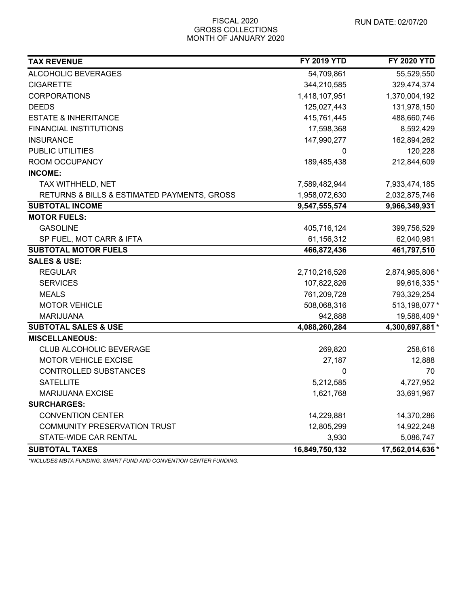| <b>TAX REVENUE</b>                          | <b>FY 2019 YTD</b> | <b>FY 2020 YTD</b> |
|---------------------------------------------|--------------------|--------------------|
| ALCOHOLIC BEVERAGES                         | 54,709,861         | 55,529,550         |
| <b>CIGARETTE</b>                            | 344,210,585        | 329,474,374        |
| <b>CORPORATIONS</b>                         | 1,418,107,951      | 1,370,004,192      |
| <b>DEEDS</b>                                | 125,027,443        | 131,978,150        |
| <b>ESTATE &amp; INHERITANCE</b>             | 415,761,445        | 488,660,746        |
| <b>FINANCIAL INSTITUTIONS</b>               | 17,598,368         | 8,592,429          |
| <b>INSURANCE</b>                            | 147,990,277        | 162,894,262        |
| PUBLIC UTILITIES                            | 0                  | 120,228            |
| ROOM OCCUPANCY                              | 189,485,438        | 212,844,609        |
| <b>INCOME:</b>                              |                    |                    |
| TAX WITHHELD, NET                           | 7,589,482,944      | 7,933,474,185      |
| RETURNS & BILLS & ESTIMATED PAYMENTS, GROSS | 1,958,072,630      | 2,032,875,746      |
| <b>SUBTOTAL INCOME</b>                      | 9,547,555,574      | 9,966,349,931      |
| <b>MOTOR FUELS:</b>                         |                    |                    |
| <b>GASOLINE</b>                             | 405,716,124        | 399,756,529        |
| SP FUEL, MOT CARR & IFTA                    | 61,156,312         | 62,040,981         |
| <b>SUBTOTAL MOTOR FUELS</b>                 | 466,872,436        | 461,797,510        |
| <b>SALES &amp; USE:</b>                     |                    |                    |
| <b>REGULAR</b>                              | 2,710,216,526      | 2,874,965,806 *    |
| <b>SERVICES</b>                             | 107,822,826        | 99,616,335*        |
| <b>MEALS</b>                                | 761,209,728        | 793,329,254        |
| <b>MOTOR VEHICLE</b>                        | 508,068,316        | 513,198,077 *      |
| <b>MARIJUANA</b>                            | 942,888            | 19,588,409 *       |
| <b>SUBTOTAL SALES &amp; USE</b>             | 4,088,260,284      | 4,300,697,881 *    |
| <b>MISCELLANEOUS:</b>                       |                    |                    |
| <b>CLUB ALCOHOLIC BEVERAGE</b>              | 269,820            | 258,616            |
| <b>MOTOR VEHICLE EXCISE</b>                 | 27,187             | 12,888             |
| CONTROLLED SUBSTANCES                       | 0                  | 70                 |
| <b>SATELLITE</b>                            | 5,212,585          | 4,727,952          |
| <b>MARIJUANA EXCISE</b>                     | 1,621,768          | 33,691,967         |
| <b>SURCHARGES:</b>                          |                    |                    |
| <b>CONVENTION CENTER</b>                    | 14,229,881         | 14,370,286         |
| COMMUNITY PRESERVATION TRUST                | 12,805,299         | 14,922,248         |
| STATE-WIDE CAR RENTAL                       | 3,930              | 5,086,747          |
| <b>SUBTOTAL TAXES</b>                       | 16,849,750,132     | 17,562,014,636 *   |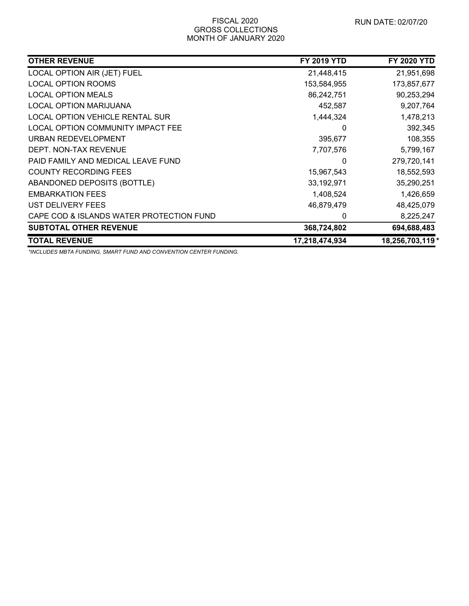| <b>OTHER REVENUE</b>                     | <b>FY 2019 YTD</b> | <b>FY 2020 YTD</b> |
|------------------------------------------|--------------------|--------------------|
| LOCAL OPTION AIR (JET) FUEL              | 21,448,415         | 21,951,698         |
| <b>LOCAL OPTION ROOMS</b>                | 153,584,955        | 173,857,677        |
| <b>LOCAL OPTION MEALS</b>                | 86,242,751         | 90,253,294         |
| LOCAL OPTION MARIJUANA                   | 452,587            | 9,207,764          |
| LOCAL OPTION VEHICLE RENTAL SUR          | 1,444,324          | 1,478,213          |
| LOCAL OPTION COMMUNITY IMPACT FEE        | 0                  | 392,345            |
| URBAN REDEVELOPMENT                      | 395,677            | 108,355            |
| DEPT. NON-TAX REVENUE                    | 7,707,576          | 5,799,167          |
| PAID FAMILY AND MEDICAL LEAVE FUND       | 0                  | 279,720,141        |
| <b>COUNTY RECORDING FEES</b>             | 15,967,543         | 18,552,593         |
| ABANDONED DEPOSITS (BOTTLE)              | 33,192,971         | 35,290,251         |
| <b>EMBARKATION FEES</b>                  | 1,408,524          | 1,426,659          |
| UST DELIVERY FEES                        | 46,879,479         | 48,425,079         |
| CAPE COD & ISLANDS WATER PROTECTION FUND | 0                  | 8,225,247          |
| <b>SUBTOTAL OTHER REVENUE</b>            | 368,724,802        | 694,688,483        |
| <b>TOTAL REVENUE</b>                     | 17,218,474,934     | 18,256,703,119 *   |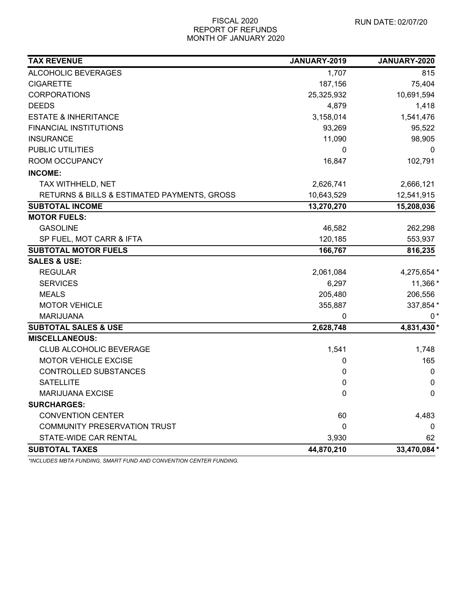| <b>TAX REVENUE</b>                          | JANUARY-2019 | JANUARY-2020 |
|---------------------------------------------|--------------|--------------|
| ALCOHOLIC BEVERAGES                         | 1,707        | 815          |
| <b>CIGARETTE</b>                            | 187,156      | 75,404       |
| <b>CORPORATIONS</b>                         | 25,325,932   | 10,691,594   |
| <b>DEEDS</b>                                | 4,879        | 1,418        |
| <b>ESTATE &amp; INHERITANCE</b>             | 3,158,014    | 1,541,476    |
| FINANCIAL INSTITUTIONS                      | 93,269       | 95,522       |
| <b>INSURANCE</b>                            | 11,090       | 98,905       |
| <b>PUBLIC UTILITIES</b>                     | $\mathbf{0}$ | 0            |
| ROOM OCCUPANCY                              | 16,847       | 102,791      |
| <b>INCOME:</b>                              |              |              |
| TAX WITHHELD, NET                           | 2,626,741    | 2,666,121    |
| RETURNS & BILLS & ESTIMATED PAYMENTS, GROSS | 10,643,529   | 12,541,915   |
| <b>SUBTOTAL INCOME</b>                      | 13,270,270   | 15,208,036   |
| <b>MOTOR FUELS:</b>                         |              |              |
| <b>GASOLINE</b>                             | 46,582       | 262,298      |
| SP FUEL, MOT CARR & IFTA                    | 120,185      | 553,937      |
| <b>SUBTOTAL MOTOR FUELS</b>                 | 166,767      | 816,235      |
| <b>SALES &amp; USE:</b>                     |              |              |
| <b>REGULAR</b>                              | 2,061,084    | 4,275,654 *  |
| <b>SERVICES</b>                             | 6,297        | 11,366 *     |
| <b>MEALS</b>                                | 205,480      | 206,556      |
| <b>MOTOR VEHICLE</b>                        | 355,887      | 337,854 *    |
| <b>MARIJUANA</b>                            | 0            | $0*$         |
| <b>SUBTOTAL SALES &amp; USE</b>             | 2,628,748    | 4,831,430 *  |
| <b>MISCELLANEOUS:</b>                       |              |              |
| <b>CLUB ALCOHOLIC BEVERAGE</b>              | 1,541        | 1,748        |
| <b>MOTOR VEHICLE EXCISE</b>                 | 0            | 165          |
| <b>CONTROLLED SUBSTANCES</b>                | 0            | 0            |
| <b>SATELLITE</b>                            | 0            | $\mathbf 0$  |
| MARIJUANA EXCISE                            | 0            | 0            |
| <b>SURCHARGES:</b>                          |              |              |
| <b>CONVENTION CENTER</b>                    | 60           | 4,483        |
| <b>COMMUNITY PRESERVATION TRUST</b>         | $\mathbf 0$  | 0            |
| STATE-WIDE CAR RENTAL                       | 3,930        | 62           |
| <b>SUBTOTAL TAXES</b>                       | 44,870,210   | 33,470,084 * |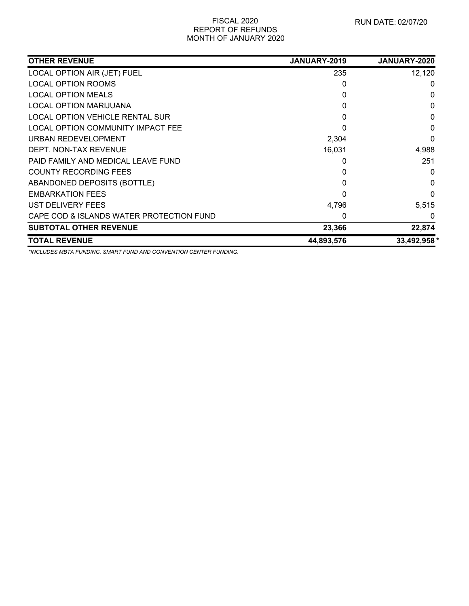| <b>OTHER REVENUE</b>                     | JANUARY-2019 | <b>JANUARY-2020</b> |
|------------------------------------------|--------------|---------------------|
| LOCAL OPTION AIR (JET) FUEL              | 235          | 12,120              |
| <b>LOCAL OPTION ROOMS</b>                | 0            | 0                   |
| <b>LOCAL OPTION MEALS</b>                | 0            | 0                   |
| <b>LOCAL OPTION MARIJUANA</b>            | 0            | $\Omega$            |
| LOCAL OPTION VEHICLE RENTAL SUR          | 0            | $\mathbf{0}$        |
| LOCAL OPTION COMMUNITY IMPACT FEE        | 0            | 0                   |
| URBAN REDEVELOPMENT                      | 2,304        | $\Omega$            |
| DEPT. NON-TAX REVENUE                    | 16,031       | 4,988               |
| PAID FAMILY AND MEDICAL LEAVE FUND       | 0            | 251                 |
| <b>COUNTY RECORDING FEES</b>             | 0            | 0                   |
| ABANDONED DEPOSITS (BOTTLE)              | 0            | $\Omega$            |
| <b>EMBARKATION FEES</b>                  | 0            | $\Omega$            |
| UST DELIVERY FEES                        | 4,796        | 5,515               |
| CAPE COD & ISLANDS WATER PROTECTION FUND | 0            | 0                   |
| <b>SUBTOTAL OTHER REVENUE</b>            | 23,366       | 22,874              |
| <b>TOTAL REVENUE</b>                     | 44,893,576   | 33,492,958 *        |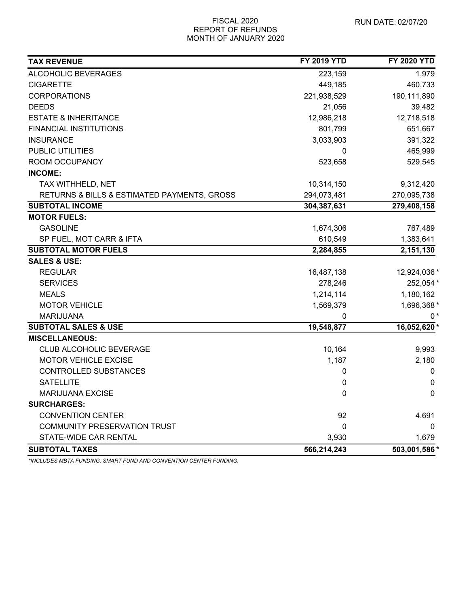| <b>TAX REVENUE</b>                          | <b>FY 2019 YTD</b> | <b>FY 2020 YTD</b> |
|---------------------------------------------|--------------------|--------------------|
| ALCOHOLIC BEVERAGES                         | 223,159            | 1,979              |
| <b>CIGARETTE</b>                            | 449,185            | 460,733            |
| <b>CORPORATIONS</b>                         | 221,938,529        | 190,111,890        |
| <b>DEEDS</b>                                | 21,056             | 39,482             |
| <b>ESTATE &amp; INHERITANCE</b>             | 12,986,218         | 12,718,518         |
| <b>FINANCIAL INSTITUTIONS</b>               | 801,799            | 651,667            |
| <b>INSURANCE</b>                            | 3,033,903          | 391,322            |
| <b>PUBLIC UTILITIES</b>                     | 0                  | 465,999            |
| ROOM OCCUPANCY                              | 523,658            | 529,545            |
| <b>INCOME:</b>                              |                    |                    |
| TAX WITHHELD, NET                           | 10,314,150         | 9,312,420          |
| RETURNS & BILLS & ESTIMATED PAYMENTS, GROSS | 294,073,481        | 270,095,738        |
| <b>SUBTOTAL INCOME</b>                      | 304,387,631        | 279,408,158        |
| <b>MOTOR FUELS:</b>                         |                    |                    |
| <b>GASOLINE</b>                             | 1,674,306          | 767,489            |
| SP FUEL, MOT CARR & IFTA                    | 610,549            | 1,383,641          |
| <b>SUBTOTAL MOTOR FUELS</b>                 | 2,284,855          | 2,151,130          |
| <b>SALES &amp; USE:</b>                     |                    |                    |
| <b>REGULAR</b>                              | 16,487,138         | 12,924,036 *       |
| <b>SERVICES</b>                             | 278,246            | 252,054 *          |
| <b>MEALS</b>                                | 1,214,114          | 1,180,162          |
| <b>MOTOR VEHICLE</b>                        | 1,569,379          | 1,696,368 *        |
| <b>MARIJUANA</b>                            | 0                  | $0*$               |
| <b>SUBTOTAL SALES &amp; USE</b>             | 19,548,877         | 16,052,620*        |
| <b>MISCELLANEOUS:</b>                       |                    |                    |
| CLUB ALCOHOLIC BEVERAGE                     | 10,164             | 9,993              |
| <b>MOTOR VEHICLE EXCISE</b>                 | 1,187              | 2,180              |
| CONTROLLED SUBSTANCES                       | 0                  | 0                  |
| <b>SATELLITE</b>                            | 0                  | $\mathbf 0$        |
| <b>MARIJUANA EXCISE</b>                     | 0                  | 0                  |
| <b>SURCHARGES:</b>                          |                    |                    |
| <b>CONVENTION CENTER</b>                    | 92                 | 4,691              |
| <b>COMMUNITY PRESERVATION TRUST</b>         | $\mathbf 0$        | 0                  |
| STATE-WIDE CAR RENTAL                       | 3,930              | 1,679              |
| <b>SUBTOTAL TAXES</b>                       | 566,214,243        | 503,001,586 *      |